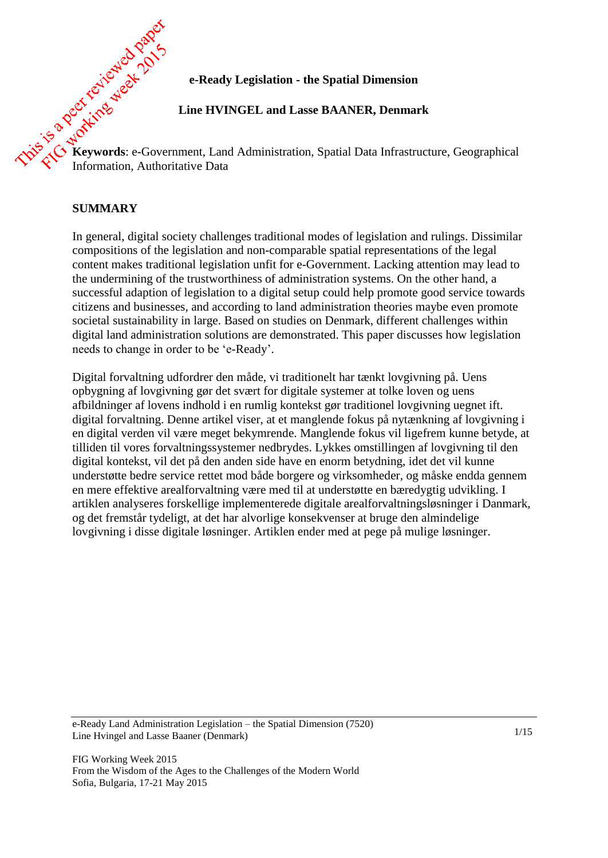# **e-Ready Legislation - the Spatial Dimension**

## **Line HVINGEL and Lasse BAANER, Denmark**

**Keywords**: e-Government, Land Administration, Spatial Data Infrastructure, Geographical Information, Authoritative Data

## **SUMMARY**

In general, digital society challenges traditional modes of legislation and rulings. Dissimilar compositions of the legislation and non-comparable spatial representations of the legal content makes traditional legislation unfit for e-Government. Lacking attention may lead to the undermining of the trustworthiness of administration systems. On the other hand, a successful adaption of legislation to a digital setup could help promote good service towards citizens and businesses, and according to land administration theories maybe even promote societal sustainability in large. Based on studies on Denmark, different challenges within digital land administration solutions are demonstrated. This paper discusses how legislation needs to change in order to be 'e-Ready'.

Digital forvaltning udfordrer den måde, vi traditionelt har tænkt lovgivning på. Uens opbygning af lovgivning gør det svært for digitale systemer at tolke loven og uens afbildninger af lovens indhold i en rumlig kontekst gør traditionel lovgivning uegnet ift. digital forvaltning. Denne artikel viser, at et manglende fokus på nytænkning af lovgivning i en digital verden vil være meget bekymrende. Manglende fokus vil ligefrem kunne betyde, at tilliden til vores forvaltningssystemer nedbrydes. Lykkes omstillingen af lovgivning til den digital kontekst, vil det på den anden side have en enorm betydning, idet det vil kunne understøtte bedre service rettet mod både borgere og virksomheder, og måske endda gennem en mere effektive arealforvaltning være med til at understøtte en bæredygtig udvikling. I artiklen analyseres forskellige implementerede digitale arealforvaltningsløsninger i Danmark, og det fremstår tydeligt, at det har alvorlige konsekvenser at bruge den almindelige lovgivning i disse digitale løsninger. Artiklen ender med at pege på mulige løsninger.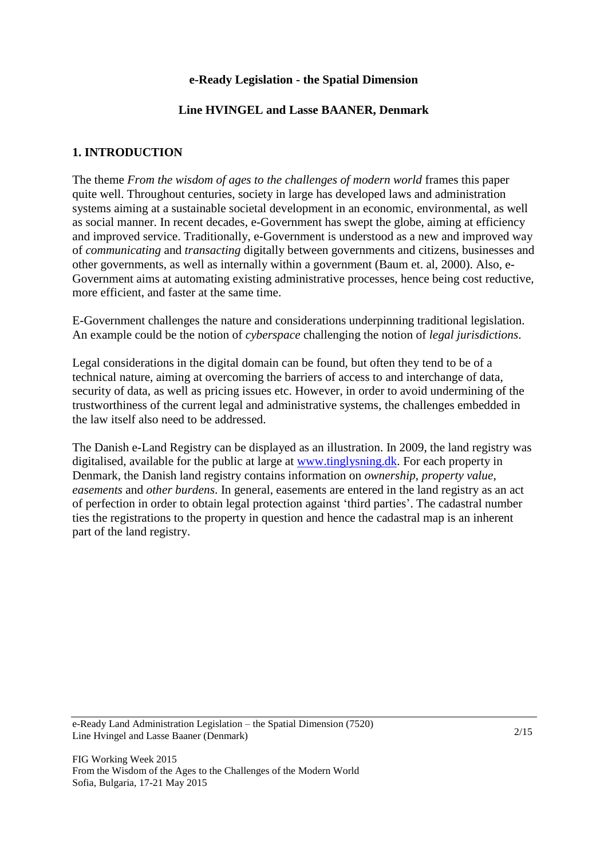## **e-Ready Legislation - the Spatial Dimension**

## **Line HVINGEL and Lasse BAANER, Denmark**

## **1. INTRODUCTION**

The theme *From the wisdom of ages to the challenges of modern world* frames this paper quite well. Throughout centuries, society in large has developed laws and administration systems aiming at a sustainable societal development in an economic, environmental, as well as social manner. In recent decades, e-Government has swept the globe, aiming at efficiency and improved service. Traditionally, e-Government is understood as a new and improved way of *communicating* and *transacting* digitally between governments and citizens, businesses and other governments, as well as internally within a government (Baum et. al, 2000). Also, e-Government aims at automating existing administrative processes, hence being cost reductive, more efficient, and faster at the same time.

E-Government challenges the nature and considerations underpinning traditional legislation. An example could be the notion of *cyberspace* challenging the notion of *legal jurisdictions*.

Legal considerations in the digital domain can be found, but often they tend to be of a technical nature, aiming at overcoming the barriers of access to and interchange of data, security of data, as well as pricing issues etc. However, in order to avoid undermining of the trustworthiness of the current legal and administrative systems, the challenges embedded in the law itself also need to be addressed.

The Danish e-Land Registry can be displayed as an illustration. In 2009, the land registry was digitalised, available for the public at large at [www.tinglysning.dk.](http://www.tinglysning.dk/) For each property in Denmark, the Danish land registry contains information on *ownership*, *property value*, *easements* and *other burdens*. In general, easements are entered in the land registry as an act of perfection in order to obtain legal protection against 'third parties'. The cadastral number ties the registrations to the property in question and hence the cadastral map is an inherent part of the land registry.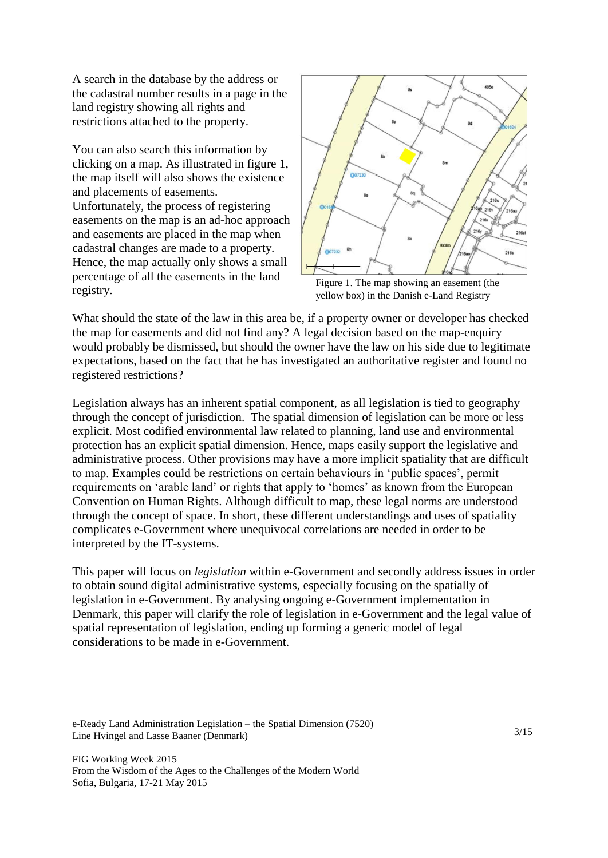A search in the database by the address or the cadastral number results in a page in the land registry showing all rights and restrictions attached to the property.

You can also search this information by clicking on a map. As illustrated in figure 1, the map itself will also shows the existence and placements of easements. Unfortunately, the process of registering easements on the map is an ad-hoc approach and easements are placed in the map when cadastral changes are made to a property. Hence, the map actually only shows a small percentage of all the easements in the land registry.



Figure 1. The map showing an easement (the yellow box) in the Danish e-Land Registry

What should the state of the law in this area be, if a property owner or developer has checked the map for easements and did not find any? A legal decision based on the map-enquiry would probably be dismissed, but should the owner have the law on his side due to legitimate expectations, based on the fact that he has investigated an authoritative register and found no registered restrictions?

Legislation always has an inherent spatial component, as all legislation is tied to geography through the concept of jurisdiction. The spatial dimension of legislation can be more or less explicit. Most codified environmental law related to planning, land use and environmental protection has an explicit spatial dimension. Hence, maps easily support the legislative and administrative process. Other provisions may have a more implicit spatiality that are difficult to map. Examples could be restrictions on certain behaviours in 'public spaces', permit requirements on 'arable land' or rights that apply to 'homes' as known from the European Convention on Human Rights. Although difficult to map, these legal norms are understood through the concept of space. In short, these different understandings and uses of spatiality complicates e-Government where unequivocal correlations are needed in order to be interpreted by the IT-systems.

This paper will focus on *legislation* within e-Government and secondly address issues in order to obtain sound digital administrative systems, especially focusing on the spatially of legislation in e-Government. By analysing ongoing e-Government implementation in Denmark, this paper will clarify the role of legislation in e-Government and the legal value of spatial representation of legislation, ending up forming a generic model of legal considerations to be made in e-Government.

e-Ready Land Administration Legislation – the Spatial Dimension (7520) Line Hvingel and Lasse Baaner (Denmark)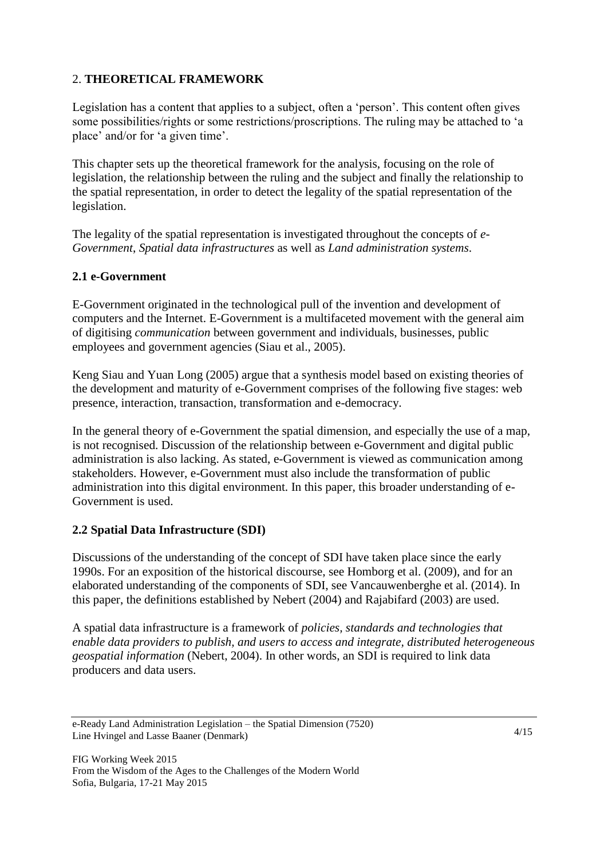# 2. **THEORETICAL FRAMEWORK**

Legislation has a content that applies to a subject, often a 'person'. This content often gives some possibilities/rights or some restrictions/proscriptions. The ruling may be attached to 'a place' and/or for 'a given time'.

This chapter sets up the theoretical framework for the analysis, focusing on the role of legislation, the relationship between the ruling and the subject and finally the relationship to the spatial representation, in order to detect the legality of the spatial representation of the legislation.

The legality of the spatial representation is investigated throughout the concepts of *e-Government*, *Spatial data infrastructures* as well as *Land administration systems*.

# **2.1 e-Government**

E-Government originated in the technological pull of the invention and development of computers and the Internet. E-Government is a multifaceted movement with the general aim of digitising *communication* between government and individuals, businesses, public employees and government agencies (Siau et al., 2005).

Keng Siau and Yuan Long (2005) argue that a synthesis model based on existing theories of the development and maturity of e-Government comprises of the following five stages: web presence, interaction, transaction, transformation and e-democracy.

In the general theory of e-Government the spatial dimension, and especially the use of a map, is not recognised. Discussion of the relationship between e-Government and digital public administration is also lacking. As stated, e-Government is viewed as communication among stakeholders. However, e-Government must also include the transformation of public administration into this digital environment. In this paper, this broader understanding of e-Government is used.

## **2.2 Spatial Data Infrastructure (SDI)**

Discussions of the understanding of the concept of SDI have taken place since the early 1990s. For an exposition of the historical discourse, see Homborg et al. (2009), and for an elaborated understanding of the components of SDI, see Vancauwenberghe et al. (2014). In this paper, the definitions established by Nebert (2004) and Rajabifard (2003) are used.

A spatial data infrastructure is a framework of *policies, standards and technologies that enable data providers to publish, and users to access and integrate, distributed heterogeneous geospatial information* (Nebert, 2004). In other words, an SDI is required to link data producers and data users.

e-Ready Land Administration Legislation – the Spatial Dimension (7520) Line Hvingel and Lasse Baaner (Denmark)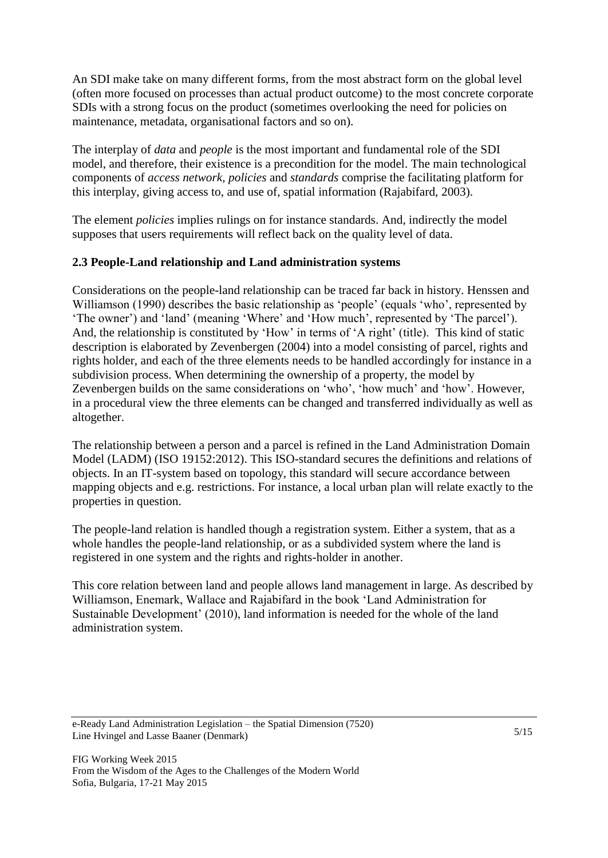An SDI make take on many different forms, from the most abstract form on the global level (often more focused on processes than actual product outcome) to the most concrete corporate SDIs with a strong focus on the product (sometimes overlooking the need for policies on maintenance, metadata, organisational factors and so on).

The interplay of *data* and *people* is the most important and fundamental role of the SDI model, and therefore, their existence is a precondition for the model. The main technological components of *access network, policies* and *standards* comprise the facilitating platform for this interplay, giving access to, and use of, spatial information (Rajabifard, 2003).

The element *policies* implies rulings on for instance standards. And, indirectly the model supposes that users requirements will reflect back on the quality level of data.

# **2.3 People-Land relationship and Land administration systems**

Considerations on the people-land relationship can be traced far back in history. Henssen and Williamson (1990) describes the basic relationship as 'people' (equals 'who', represented by 'The owner') and 'land' (meaning 'Where' and 'How much', represented by 'The parcel'). And, the relationship is constituted by 'How' in terms of 'A right' (title). This kind of static description is elaborated by Zevenbergen (2004) into a model consisting of parcel, rights and rights holder, and each of the three elements needs to be handled accordingly for instance in a subdivision process. When determining the ownership of a property, the model by Zevenbergen builds on the same considerations on 'who', 'how much' and 'how'. However, in a procedural view the three elements can be changed and transferred individually as well as altogether.

The relationship between a person and a parcel is refined in the Land Administration Domain Model (LADM) (ISO 19152:2012). This ISO-standard secures the definitions and relations of objects. In an IT-system based on topology, this standard will secure accordance between mapping objects and e.g. restrictions. For instance, a local urban plan will relate exactly to the properties in question.

The people-land relation is handled though a registration system. Either a system, that as a whole handles the people-land relationship, or as a subdivided system where the land is registered in one system and the rights and rights-holder in another.

This core relation between land and people allows land management in large. As described by Williamson, Enemark, Wallace and Rajabifard in the book 'Land Administration for Sustainable Development' (2010), land information is needed for the whole of the land administration system.

e-Ready Land Administration Legislation – the Spatial Dimension (7520) Line Hvingel and Lasse Baaner (Denmark)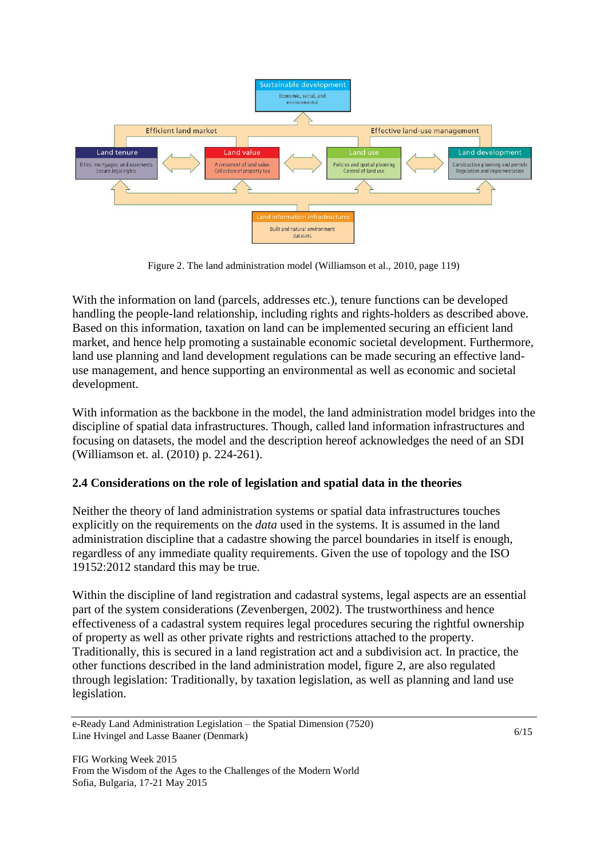

Figure 2. The land administration model (Williamson et al., 2010, page 119)

With the information on land (parcels, addresses etc.), tenure functions can be developed handling the people-land relationship, including rights and rights-holders as described above. Based on this information, taxation on land can be implemented securing an efficient land market, and hence help promoting a sustainable economic societal development. Furthermore, land use planning and land development regulations can be made securing an effective landuse management, and hence supporting an environmental as well as economic and societal development.

With information as the backbone in the model, the land administration model bridges into the discipline of spatial data infrastructures. Though, called land information infrastructures and focusing on datasets, the model and the description hereof acknowledges the need of an SDI (Williamson et. al. (2010) p. 224-261).

# **2.4 Considerations on the role of legislation and spatial data in the theories**

Neither the theory of land administration systems or spatial data infrastructures touches explicitly on the requirements on the *data* used in the systems. It is assumed in the land administration discipline that a cadastre showing the parcel boundaries in itself is enough, regardless of any immediate quality requirements. Given the use of topology and the ISO 19152:2012 standard this may be true.

Within the discipline of land registration and cadastral systems, legal aspects are an essential part of the system considerations (Zevenbergen, 2002). The trustworthiness and hence effectiveness of a cadastral system requires legal procedures securing the rightful ownership of property as well as other private rights and restrictions attached to the property. Traditionally, this is secured in a land registration act and a subdivision act. In practice, the other functions described in the land administration model, figure 2, are also regulated through legislation: Traditionally, by taxation legislation, as well as planning and land use legislation.

e-Ready Land Administration Legislation – the Spatial Dimension (7520) Line Hvingel and Lasse Baaner (Denmark)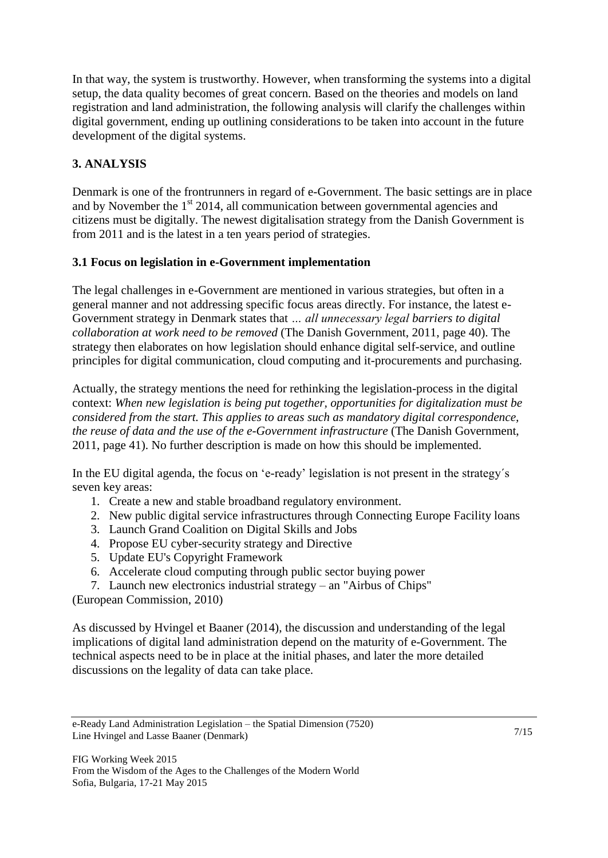In that way, the system is trustworthy. However, when transforming the systems into a digital setup, the data quality becomes of great concern. Based on the theories and models on land registration and land administration, the following analysis will clarify the challenges within digital government, ending up outlining considerations to be taken into account in the future development of the digital systems.

# **3. ANALYSIS**

Denmark is one of the frontrunners in regard of e-Government. The basic settings are in place and by November the 1<sup>st</sup> 2014, all communication between governmental agencies and citizens must be digitally. The newest digitalisation strategy from the Danish Government is from 2011 and is the latest in a ten years period of strategies.

# **3.1 Focus on legislation in e-Government implementation**

The legal challenges in e-Government are mentioned in various strategies, but often in a general manner and not addressing specific focus areas directly. For instance, the latest e-Government strategy in Denmark states that *… all unnecessary legal barriers to digital collaboration at work need to be removed* (The Danish Government, 2011, page 40). The strategy then elaborates on how legislation should enhance digital self-service, and outline principles for digital communication, cloud computing and it-procurements and purchasing.

Actually, the strategy mentions the need for rethinking the legislation-process in the digital context: *When new legislation is being put together, opportunities for digitalization must be considered from the start. This applies to areas such as mandatory digital correspondence, the reuse of data and the use of the e-Government infrastructure* (The Danish Government, 2011, page 41). No further description is made on how this should be implemented.

In the EU digital agenda, the focus on 'e-ready' legislation is not present in the strategy´s seven key areas:

- 1. Create a new and stable broadband regulatory environment.
- 2. New public digital service infrastructures through Connecting Europe Facility loans
- 3. Launch Grand Coalition on Digital Skills and Jobs
- 4. Propose EU cyber-security strategy and Directive
- 5. Update EU's Copyright Framework
- 6. Accelerate cloud computing through public sector buying power
- 7. Launch new electronics industrial strategy an "Airbus of Chips"

(European Commission, 2010)

As discussed by Hvingel et Baaner (2014), the discussion and understanding of the legal implications of digital land administration depend on the maturity of e-Government. The technical aspects need to be in place at the initial phases, and later the more detailed discussions on the legality of data can take place.

e-Ready Land Administration Legislation – the Spatial Dimension (7520) Line Hvingel and Lasse Baaner (Denmark)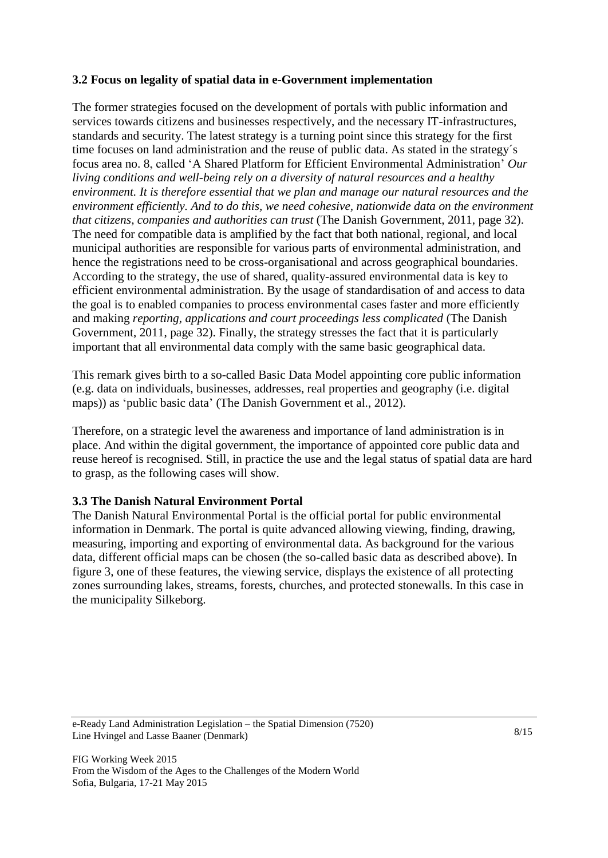# **3.2 Focus on legality of spatial data in e-Government implementation**

The former strategies focused on the development of portals with public information and services towards citizens and businesses respectively, and the necessary IT-infrastructures, standards and security. The latest strategy is a turning point since this strategy for the first time focuses on land administration and the reuse of public data. As stated in the strategy´s focus area no. 8, called 'A Shared Platform for Efficient Environmental Administration' *Our living conditions and well-being rely on a diversity of natural resources and a healthy environment. It is therefore essential that we plan and manage our natural resources and the environment efficiently. And to do this, we need cohesive, nationwide data on the environment that citizens, companies and authorities can trust* (The Danish Government, 2011, page 32). The need for compatible data is amplified by the fact that both national, regional, and local municipal authorities are responsible for various parts of environmental administration, and hence the registrations need to be cross-organisational and across geographical boundaries. According to the strategy, the use of shared, quality-assured environmental data is key to efficient environmental administration. By the usage of standardisation of and access to data the goal is to enabled companies to process environmental cases faster and more efficiently and making *reporting, applications and court proceedings less complicated* (The Danish Government, 2011, page 32). Finally, the strategy stresses the fact that it is particularly important that all environmental data comply with the same basic geographical data.

This remark gives birth to a so-called Basic Data Model appointing core public information (e.g. data on individuals, businesses, addresses, real properties and geography (i.e. digital maps)) as 'public basic data' (The Danish Government et al., 2012).

Therefore, on a strategic level the awareness and importance of land administration is in place. And within the digital government, the importance of appointed core public data and reuse hereof is recognised. Still, in practice the use and the legal status of spatial data are hard to grasp, as the following cases will show.

## **3.3 The Danish Natural Environment Portal**

The Danish Natural Environmental Portal is the official portal for public environmental information in Denmark. The portal is quite advanced allowing viewing, finding, drawing, measuring, importing and exporting of environmental data. As background for the various data, different official maps can be chosen (the so-called basic data as described above). In figure 3, one of these features, the viewing service, displays the existence of all protecting zones surrounding lakes, streams, forests, churches, and protected stonewalls. In this case in the municipality Silkeborg.

e-Ready Land Administration Legislation – the Spatial Dimension (7520) Line Hvingel and Lasse Baaner (Denmark)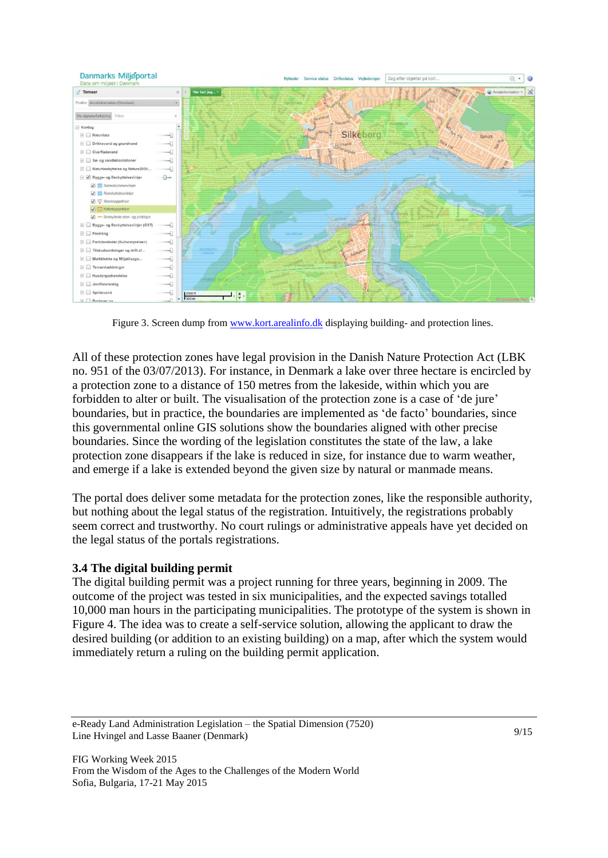

Figure 3. Screen dump fro[m www.kort.arealinfo.dk](http://www.kort.arealinfo.dk/) displaying building- and protection lines.

All of these protection zones have legal provision in the Danish Nature Protection Act (LBK no. 951 of the 03/07/2013). For instance, in Denmark a lake over three hectare is encircled by a protection zone to a distance of 150 metres from the lakeside, within which you are forbidden to alter or built. The visualisation of the protection zone is a case of 'de jure' boundaries, but in practice, the boundaries are implemented as 'de facto' boundaries, since this governmental online GIS solutions show the boundaries aligned with other precise boundaries. Since the wording of the legislation constitutes the state of the law, a lake protection zone disappears if the lake is reduced in size, for instance due to warm weather, and emerge if a lake is extended beyond the given size by natural or manmade means.

The portal does deliver some metadata for the protection zones, like the responsible authority, but nothing about the legal status of the registration. Intuitively, the registrations probably seem correct and trustworthy. No court rulings or administrative appeals have yet decided on the legal status of the portals registrations.

## **3.4 The digital building permit**

The digital building permit was a project running for three years, beginning in 2009. The outcome of the project was tested in six municipalities, and the expected savings totalled 10,000 man hours in the participating municipalities. The prototype of the system is shown in Figure 4. The idea was to create a self-service solution, allowing the applicant to draw the desired building (or addition to an existing building) on a map, after which the system would immediately return a ruling on the building permit application.

e-Ready Land Administration Legislation – the Spatial Dimension (7520) Line Hvingel and Lasse Baaner (Denmark)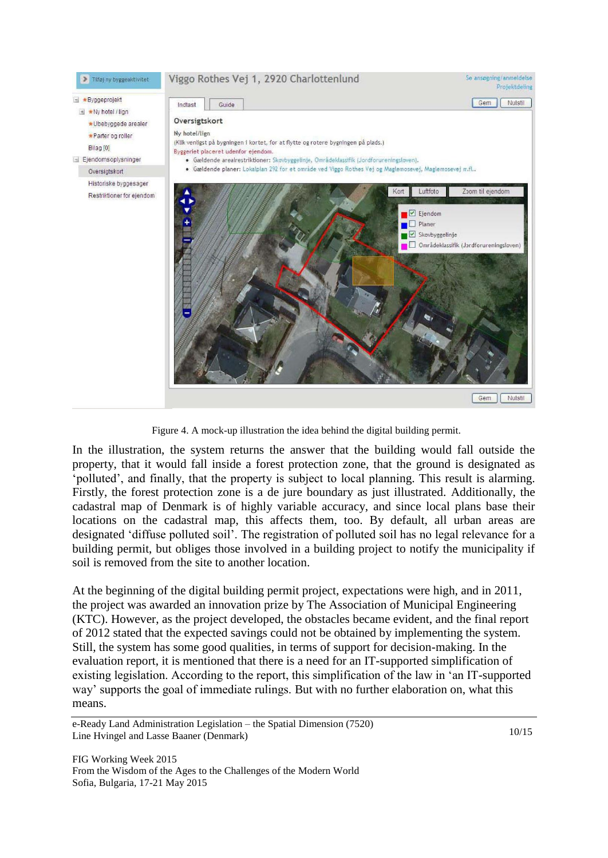#### Viggo Rothes Vej 1, 2920 Charlottenlund

Se ansogning/anmeldelse Projektdeling

Byggeprojekt

 $\overline{H}$  \*Ny hotel / lian \*Ubebyggede arealer \*Parter on roller

Tilføj ny byggeaktivitet

Bilag [0]

Eiendomsoplysninger

Oversigtskort Historiske byggesager

Restriktioner for ejendom



Figure 4. A mock-up illustration the idea behind the digital building permit.

In the illustration, the system returns the answer that the building would fall outside the property, that it would fall inside a forest protection zone, that the ground is designated as 'polluted', and finally, that the property is subject to local planning. This result is alarming. Firstly, the forest protection zone is a de jure boundary as just illustrated. Additionally, the cadastral map of Denmark is of highly variable accuracy, and since local plans base their locations on the cadastral map, this affects them, too. By default, all urban areas are designated 'diffuse polluted soil'. The registration of polluted soil has no legal relevance for a building permit, but obliges those involved in a building project to notify the municipality if soil is removed from the site to another location.

At the beginning of the digital building permit project, expectations were high, and in 2011, the project was awarded an innovation prize by The Association of Municipal Engineering (KTC). However, as the project developed, the obstacles became evident, and the final report of 2012 stated that the expected savings could not be obtained by implementing the system. Still, the system has some good qualities, in terms of support for decision-making. In the evaluation report, it is mentioned that there is a need for an IT-supported simplification of existing legislation. According to the report, this simplification of the law in 'an IT-supported way' supports the goal of immediate rulings. But with no further elaboration on, what this means.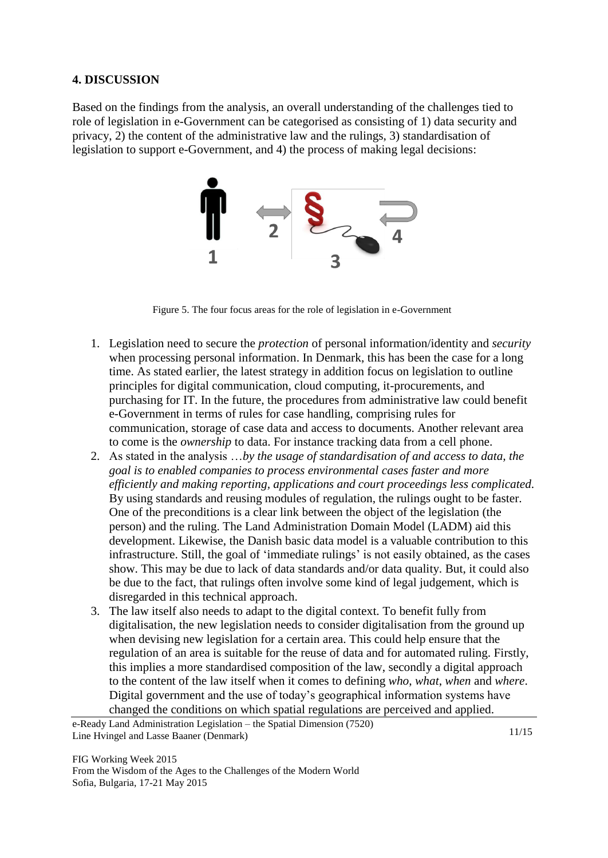## **4. DISCUSSION**

Based on the findings from the analysis, an overall understanding of the challenges tied to role of legislation in e-Government can be categorised as consisting of 1) data security and privacy, 2) the content of the administrative law and the rulings, 3) standardisation of legislation to support e-Government, and 4) the process of making legal decisions:



Figure 5. The four focus areas for the role of legislation in e-Government

- 1. Legislation need to secure the *protection* of personal information/identity and *security* when processing personal information. In Denmark, this has been the case for a long time. As stated earlier, the latest strategy in addition focus on legislation to outline principles for digital communication, cloud computing, it-procurements, and purchasing for IT. In the future, the procedures from administrative law could benefit e-Government in terms of rules for case handling, comprising rules for communication, storage of case data and access to documents. Another relevant area to come is the *ownership* to data. For instance tracking data from a cell phone.
- 2. As stated in the analysis …*by the usage of standardisation of and access to data, the goal is to enabled companies to process environmental cases faster and more efficiently and making reporting, applications and court proceedings less complicated.*  By using standards and reusing modules of regulation, the rulings ought to be faster. One of the preconditions is a clear link between the object of the legislation (the person) and the ruling. The Land Administration Domain Model (LADM) aid this development. Likewise, the Danish basic data model is a valuable contribution to this infrastructure. Still, the goal of 'immediate rulings' is not easily obtained, as the cases show. This may be due to lack of data standards and/or data quality. But, it could also be due to the fact, that rulings often involve some kind of legal judgement, which is disregarded in this technical approach.
- 3. The law itself also needs to adapt to the digital context. To benefit fully from digitalisation, the new legislation needs to consider digitalisation from the ground up when devising new legislation for a certain area. This could help ensure that the regulation of an area is suitable for the reuse of data and for automated ruling. Firstly, this implies a more standardised composition of the law, secondly a digital approach to the content of the law itself when it comes to defining *who*, *what*, *when* and *where*. Digital government and the use of today's geographical information systems have changed the conditions on which spatial regulations are perceived and applied.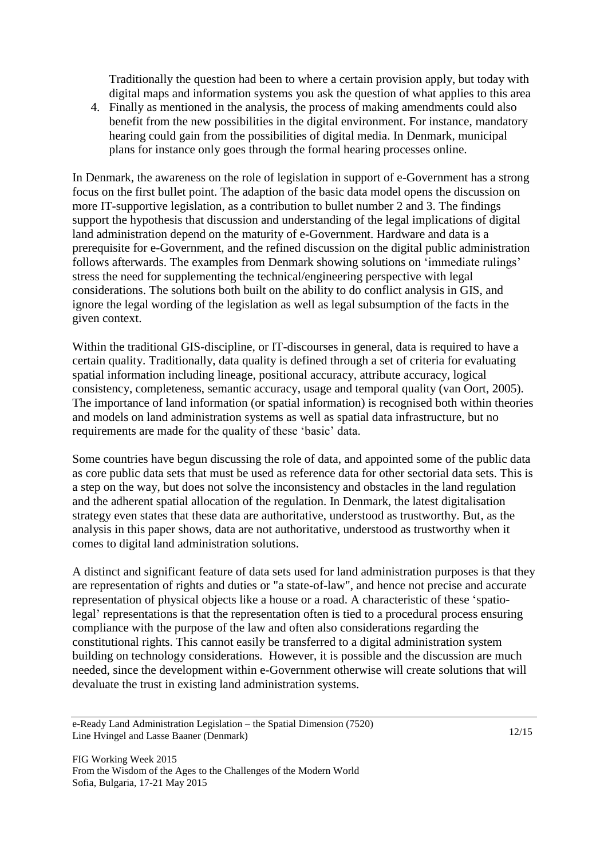Traditionally the question had been to where a certain provision apply, but today with digital maps and information systems you ask the question of what applies to this area

4. Finally as mentioned in the analysis, the process of making amendments could also benefit from the new possibilities in the digital environment. For instance, mandatory hearing could gain from the possibilities of digital media. In Denmark, municipal plans for instance only goes through the formal hearing processes online.

In Denmark, the awareness on the role of legislation in support of e-Government has a strong focus on the first bullet point. The adaption of the basic data model opens the discussion on more IT-supportive legislation, as a contribution to bullet number 2 and 3. The findings support the hypothesis that discussion and understanding of the legal implications of digital land administration depend on the maturity of e-Government. Hardware and data is a prerequisite for e-Government, and the refined discussion on the digital public administration follows afterwards. The examples from Denmark showing solutions on 'immediate rulings' stress the need for supplementing the technical/engineering perspective with legal considerations. The solutions both built on the ability to do conflict analysis in GIS, and ignore the legal wording of the legislation as well as legal subsumption of the facts in the given context.

Within the traditional GIS-discipline, or IT-discourses in general, data is required to have a certain quality. Traditionally, data quality is defined through a set of criteria for evaluating spatial information including lineage, positional accuracy, attribute accuracy, logical consistency, completeness, semantic accuracy, usage and temporal quality (van Oort, 2005). The importance of land information (or spatial information) is recognised both within theories and models on land administration systems as well as spatial data infrastructure, but no requirements are made for the quality of these 'basic' data.

Some countries have begun discussing the role of data, and appointed some of the public data as core public data sets that must be used as reference data for other sectorial data sets. This is a step on the way, but does not solve the inconsistency and obstacles in the land regulation and the adherent spatial allocation of the regulation. In Denmark, the latest digitalisation strategy even states that these data are authoritative, understood as trustworthy. But, as the analysis in this paper shows, data are not authoritative, understood as trustworthy when it comes to digital land administration solutions.

A distinct and significant feature of data sets used for land administration purposes is that they are representation of rights and duties or "a state-of-law", and hence not precise and accurate representation of physical objects like a house or a road. A characteristic of these 'spatiolegal' representations is that the representation often is tied to a procedural process ensuring compliance with the purpose of the law and often also considerations regarding the constitutional rights. This cannot easily be transferred to a digital administration system building on technology considerations. However, it is possible and the discussion are much needed, since the development within e-Government otherwise will create solutions that will devaluate the trust in existing land administration systems.

e-Ready Land Administration Legislation – the Spatial Dimension (7520) Line Hvingel and Lasse Baaner (Denmark)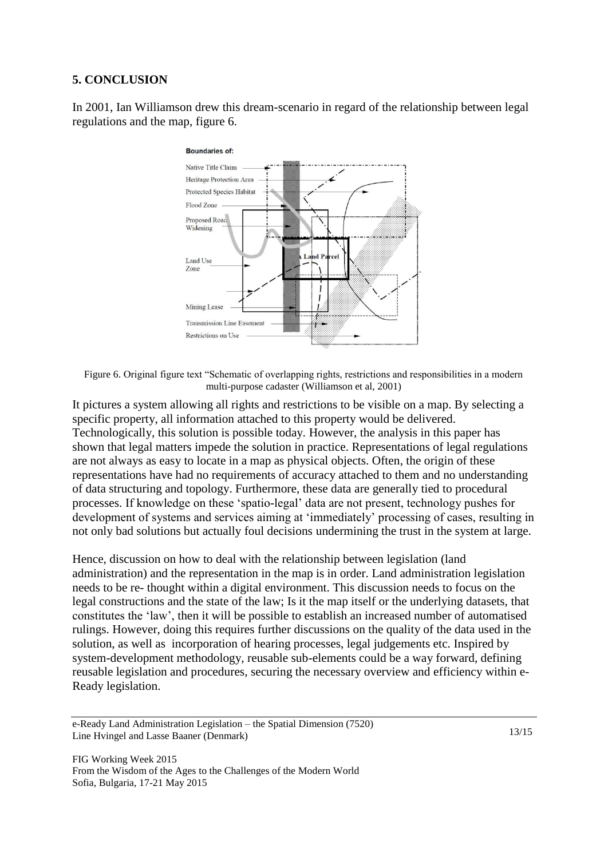#### **5. CONCLUSION**

In 2001, Ian Williamson drew this dream-scenario in regard of the relationship between legal regulations and the map, figure 6.



Figure 6. Original figure text "Schematic of overlapping rights, restrictions and responsibilities in a modern multi-purpose cadaster (Williamson et al, 2001)

It pictures a system allowing all rights and restrictions to be visible on a map. By selecting a specific property, all information attached to this property would be delivered. Technologically, this solution is possible today. However, the analysis in this paper has shown that legal matters impede the solution in practice. Representations of legal regulations are not always as easy to locate in a map as physical objects. Often, the origin of these representations have had no requirements of accuracy attached to them and no understanding of data structuring and topology. Furthermore, these data are generally tied to procedural processes. If knowledge on these 'spatio-legal' data are not present, technology pushes for development of systems and services aiming at 'immediately' processing of cases, resulting in not only bad solutions but actually foul decisions undermining the trust in the system at large.

Hence, discussion on how to deal with the relationship between legislation (land administration) and the representation in the map is in order. Land administration legislation needs to be re- thought within a digital environment. This discussion needs to focus on the legal constructions and the state of the law; Is it the map itself or the underlying datasets, that constitutes the 'law', then it will be possible to establish an increased number of automatised rulings. However, doing this requires further discussions on the quality of the data used in the solution, as well as incorporation of hearing processes, legal judgements etc. Inspired by system-development methodology, reusable sub-elements could be a way forward, defining reusable legislation and procedures, securing the necessary overview and efficiency within e-Ready legislation.

e-Ready Land Administration Legislation – the Spatial Dimension (7520) Line Hvingel and Lasse Baaner (Denmark)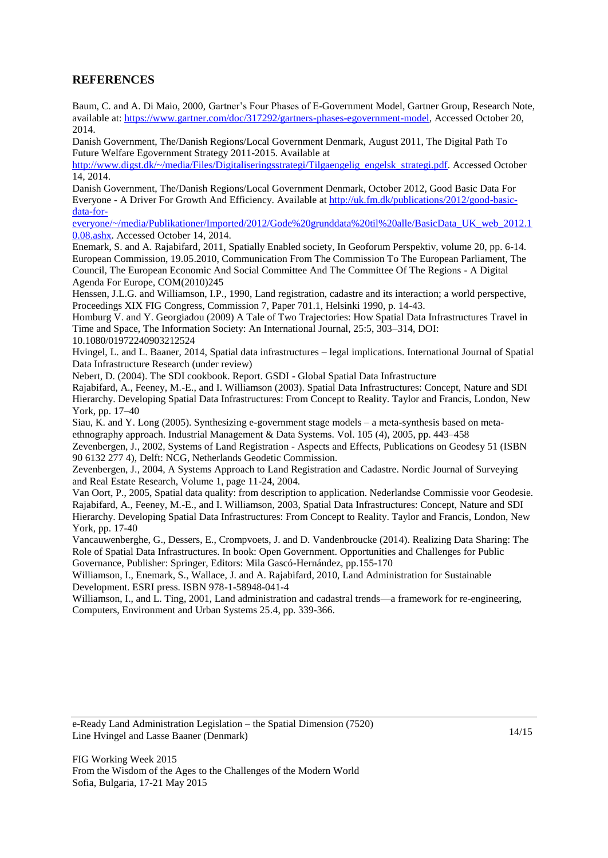## **REFERENCES**

Baum, C. and A. Di Maio, 2000, Gartner's Four Phases of E-Government Model, Gartner Group, Research Note, available at: [https://www.gartner.com/doc/317292/gartners-phases-egovernment-model,](https://www.gartner.com/doc/317292/gartners-phases-egovernment-model) Accessed October 20, 2014.

Danish Government, The/Danish Regions/Local Government Denmark, August 2011, The Digital Path To Future Welfare Egovernment Strategy 2011-2015. Available at

[http://www.digst.dk/~/media/Files/Digitaliseringsstrategi/Tilgaengelig\\_engelsk\\_strategi.pdf.](http://www.digst.dk/~/media/Files/Digitaliseringsstrategi/Tilgaengelig_engelsk_strategi.pdf) Accessed October 14, 2014.

Danish Government, The/Danish Regions/Local Government Denmark, October 2012, Good Basic Data For Everyone - A Driver For Growth And Efficiency. Available at [http://uk.fm.dk/publications/2012/good-basic](http://uk.fm.dk/publications/2012/good-basic-data-for-everyone/~/media/Publikationer/Imported/2012/Gode%20grunddata%20til%20alle/BasicData_UK_web_2012.10.08.ashx)[data-for-](http://uk.fm.dk/publications/2012/good-basic-data-for-everyone/~/media/Publikationer/Imported/2012/Gode%20grunddata%20til%20alle/BasicData_UK_web_2012.10.08.ashx)

[everyone/~/media/Publikationer/Imported/2012/Gode%20grunddata%20til%20alle/BasicData\\_UK\\_web\\_2012.1](http://uk.fm.dk/publications/2012/good-basic-data-for-everyone/~/media/Publikationer/Imported/2012/Gode%20grunddata%20til%20alle/BasicData_UK_web_2012.10.08.ashx) [0.08.ashx.](http://uk.fm.dk/publications/2012/good-basic-data-for-everyone/~/media/Publikationer/Imported/2012/Gode%20grunddata%20til%20alle/BasicData_UK_web_2012.10.08.ashx) Accessed October 14, 2014.

Enemark, S. and A. Rajabifard, 2011, Spatially Enabled society, In Geoforum Perspektiv, volume 20, pp. 6-14. European Commission, 19.05.2010, Communication From The Commission To The European Parliament, The Council, The European Economic And Social Committee And The Committee Of The Regions - A Digital Agenda For Europe, COM(2010)245

Henssen, J.L.G. and Williamson, I.P., 1990, Land registration, cadastre and its interaction; a world perspective, Proceedings XIX FIG Congress, Commission 7, Paper 701.1, Helsinki 1990, p. 14-43.

Homburg V. and Y. Georgiadou (2009) A Tale of Two Trajectories: How Spatial Data Infrastructures Travel in Time and Space, The Information Society: An International Journal, 25:5, 303–314, DOI: 10.1080/01972240903212524

Hvingel, L. and L. Baaner, 2014, Spatial data infrastructures – legal implications. International Journal of Spatial Data Infrastructure Research (under review)

Nebert, D. (2004). The SDI cookbook. Report. GSDI - Global Spatial Data Infrastructure

Rajabifard, A., Feeney, M.-E., and I. Williamson (2003). Spatial Data Infrastructures: Concept, Nature and SDI Hierarchy. Developing Spatial Data Infrastructures: From Concept to Reality. Taylor and Francis, London, New York, pp. 17–40

Siau, K. and Y. Long (2005). Synthesizing e-government stage models – a meta-synthesis based on metaethnography approach. Industrial Management & Data Systems. Vol. 105 (4), 2005, pp. 443–458

Zevenbergen, J., 2002, Systems of Land Registration - Aspects and Effects, Publications on Geodesy 51 (ISBN 90 6132 277 4), Delft: NCG, Netherlands Geodetic Commission.

Zevenbergen, J., 2004, A Systems Approach to Land Registration and Cadastre. Nordic Journal of Surveying and Real Estate Research, Volume 1, page 11-24, 2004.

Van Oort, P., 2005, Spatial data quality: from description to application. Nederlandse Commissie voor Geodesie. Rajabifard, A., Feeney, M.-E., and I. Williamson, 2003, Spatial Data Infrastructures: Concept, Nature and SDI Hierarchy. Developing Spatial Data Infrastructures: From Concept to Reality. Taylor and Francis, London, New York, pp. 17-40

Vancauwenberghe, G., Dessers, E., Crompvoets, J. and D. Vandenbroucke (2014). Realizing Data Sharing: The Role of Spatial Data Infrastructures. In book: Open Government. Opportunities and Challenges for Public Governance, Publisher: Springer, Editors: Mila Gascó-Hernández, pp.155-170

Williamson, I., Enemark, S., Wallace, J. and A. Rajabifard, 2010, Land Administration for Sustainable Development. ESRI press. ISBN 978-1-58948-041-4

Williamson, I., and L. Ting, 2001, Land administration and cadastral trends—a framework for re-engineering, Computers, Environment and Urban Systems 25.4, pp. 339-366.